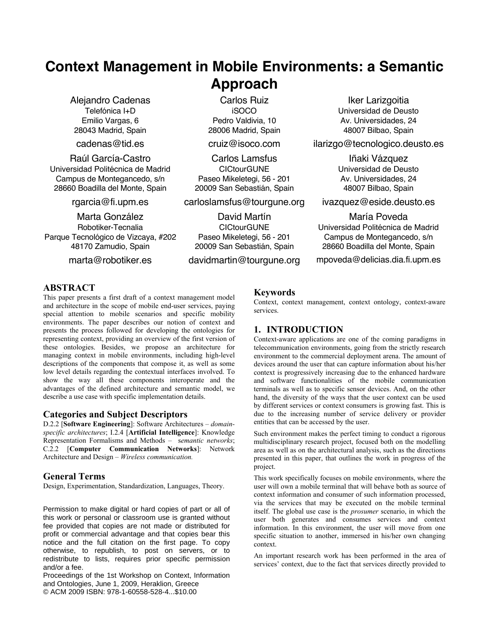# **Context Management in Mobile Environments: a Semantic Approach**

Alejandro Cadenas Telefónica I+D Emilio Vargas, 6 28043 Madrid, Spain

## cadenas@tid.es

Raúl García-Castro Universidad Politécnica de Madrid Campus de Montegancedo, s/n 28660 Boadilla del Monte, Spain

rgarcia@fi.upm.es

Marta González Robotiker-Tecnalia Parque Tecnológico de Vizcaya, #202 48170 Zamudio, Spain

marta@robotiker.es

Carlos Ruiz iSOCO Pedro Valdivia, 10 28006 Madrid, Spain

cruiz@isoco.com

Carlos Lamsfus CICtourGUNE Paseo Mikeletegi, 56 - 201 20009 San Sebastián, Spain

carloslamsfus@tourgune.org

David Martín **CICtourGUNE** Paseo Mikeletegi, 56 - 201 20009 San Sebastián, Spain

davidmartin@tourgune.org

Iker Larizgoitia Universidad de Deusto Av. Universidades, 24 48007 Bilbao, Spain

ilarizgo@tecnologico.deusto.es

Iñaki Vázquez Universidad de Deusto Av. Universidades, 24 48007 Bilbao, Spain

ivazquez@eside.deusto.es

María Poveda Universidad Politécnica de Madrid Campus de Montegancedo, s/n 28660 Boadilla del Monte, Spain

mpoveda@delicias.dia.fi.upm.es

# **ABSTRACT**

This paper presents a first draft of a context management model and architecture in the scope of mobile end-user services, paying special attention to mobile scenarios and specific mobility environments. The paper describes our notion of context and presents the process followed for developing the ontologies for representing context, providing an overview of the first version of these ontologies. Besides, we propose an architecture for managing context in mobile environments, including high-level descriptions of the components that compose it, as well as some low level details regarding the contextual interfaces involved. To show the way all these components interoperate and the advantages of the defined architecture and semantic model, we describe a use case with specific implementation details.

## **Categories and Subject Descriptors**

D.2.2 [**Software Engineering**]: Software Architectures – *domainspecific architectures*; I.2.4 [**Artificial Intelligence**]: Knowledge Representation Formalisms and Methods – s*emantic networks*; C.2.2 [**Computer Communication Networks**]: Network Architecture and Design – *Wireless communication.*

## **General Terms**

Design, Experimentation, Standardization, Languages, Theory.

Permission to make digital or hard copies of part or all of this work or personal or classroom use is granted without fee provided that copies are not made or distributed for profit or commercial advantage and that copies bear this notice and the full citation on the first page. To copy otherwise, to republish, to post on servers, or to redistribute to lists, requires prior specific permission and/or a fee.

Proceedings of the 1st Workshop on Context, Information and Ontologies, June 1, 2009, Heraklion, Greece © ACM 2009 ISBN: 978-1-60558-528-4...\$10.00

## **Keywords**

Context, context management, context ontology, context-aware services.

# **1. INTRODUCTION**

Context-aware applications are one of the coming paradigms in telecommunication environments, going from the strictly research environment to the commercial deployment arena. The amount of devices around the user that can capture information about his/her context is progressively increasing due to the enhanced hardware and software functionalities of the mobile communication terminals as well as to specific sensor devices. And, on the other hand, the diversity of the ways that the user context can be used by different services or context consumers is growing fast. This is due to the increasing number of service delivery or provider entities that can be accessed by the user.

Such environment makes the perfect timing to conduct a rigorous multidisciplinary research project, focused both on the modelling area as well as on the architectural analysis, such as the directions presented in this paper, that outlines the work in progress of the project.

This work specifically focuses on mobile environments, where the user will own a mobile terminal that will behave both as source of context information and consumer of such information processed, via the services that may be executed on the mobile terminal itself. The global use case is the *prosumer* scenario, in which the user both generates and consumes services and context information. In this environment, the user will move from one specific situation to another, immersed in his/her own changing context.

An important research work has been performed in the area of services' context, due to the fact that services directly provided to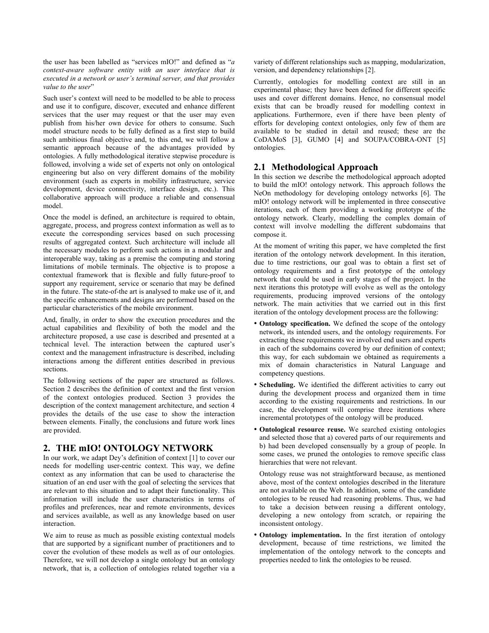the user has been labelled as "services mIO!" and defined as "*a context-aware software entity with an user interface that is executed in a network or user's terminal server, and that provides value to the user*"

Such user's context will need to be modelled to be able to process and use it to configure, discover, executed and enhance different services that the user may request or that the user may even publish from his/her own device for others to consume. Such model structure needs to be fully defined as a first step to build such ambitious final objective and, to this end, we will follow a semantic approach because of the advantages provided by ontologies. A fully methodological iterative stepwise procedure is followed, involving a wide set of experts not only on ontological engineering but also on very different domains of the mobility environment (such as experts in mobility infrastructure, service development, device connectivity, interface design, etc.). This collaborative approach will produce a reliable and consensual model.

Once the model is defined, an architecture is required to obtain, aggregate, process, and progress context information as well as to execute the corresponding services based on such processing results of aggregated context. Such architecture will include all the necessary modules to perform such actions in a modular and interoperable way, taking as a premise the computing and storing limitations of mobile terminals. The objective is to propose a contextual framework that is flexible and fully future-proof to support any requirement, service or scenario that may be defined in the future. The state-of-the art is analysed to make use of it, and the specific enhancements and designs are performed based on the particular characteristics of the mobile environment.

And, finally, in order to show the execution procedures and the actual capabilities and flexibility of both the model and the architecture proposed, a use case is described and presented at a technical level. The interaction between the captured user's context and the management infrastructure is described, including interactions among the different entities described in previous sections.

The following sections of the paper are structured as follows. Section 2 describes the definition of context and the first version of the context ontologies produced. Section 3 provides the description of the context management architecture, and section 4 provides the details of the use case to show the interaction between elements. Finally, the conclusions and future work lines are provided.

# **2. THE mIO! ONTOLOGY NETWORK**

In our work, we adapt Dey's definition of context [1] to cover our needs for modelling user-centric context. This way, we define context as any information that can be used to characterise the situation of an end user with the goal of selecting the services that are relevant to this situation and to adapt their functionality. This information will include the user characteristics in terms of profiles and preferences, near and remote environments, devices and services available, as well as any knowledge based on user interaction.

We aim to reuse as much as possible existing contextual models that are supported by a significant number of practitioners and to cover the evolution of these models as well as of our ontologies. Therefore, we will not develop a single ontology but an ontology network, that is, a collection of ontologies related together via a

variety of different relationships such as mapping, modularization, version, and dependency relationships [2].

Currently, ontologies for modelling context are still in an experimental phase; they have been defined for different specific uses and cover different domains. Hence, no consensual model exists that can be broadly reused for modelling context in applications. Furthermore, even if there have been plenty of efforts for developing context ontologies, only few of them are available to be studied in detail and reused; these are the CoDAMoS [3], GUMO [4] and SOUPA/COBRA-ONT [5] ontologies.

# **2.1 Methodological Approach**

In this section we describe the methodological approach adopted to build the mIO! ontology network. This approach follows the NeOn methodology for developing ontology networks [6]. The mIO! ontology network will be implemented in three consecutive iterations, each of them providing a working prototype of the ontology network. Clearly, modelling the complex domain of context will involve modelling the different subdomains that compose it.

At the moment of writing this paper, we have completed the first iteration of the ontology network development. In this iteration, due to time restrictions, our goal was to obtain a first set of ontology requirements and a first prototype of the ontology network that could be used in early stages of the project. In the next iterations this prototype will evolve as well as the ontology requirements, producing improved versions of the ontology network. The main activities that we carried out in this first iteration of the ontology development process are the following:

- **Ontology specification.** We defined the scope of the ontology network, its intended users, and the ontology requirements. For extracting these requirements we involved end users and experts in each of the subdomains covered by our definition of context; this way, for each subdomain we obtained as requirements a mix of domain characteristics in Natural Language and competency questions.
- **Scheduling.** We identified the different activities to carry out during the development process and organized them in time according to the existing requirements and restrictions. In our case, the development will comprise three iterations where incremental prototypes of the ontology will be produced.
- **Ontological resource reuse.** We searched existing ontologies and selected those that a) covered parts of our requirements and b) had been developed consensually by a group of people. In some cases, we pruned the ontologies to remove specific class hierarchies that were not relevant.

Ontology reuse was not straightforward because, as mentioned above, most of the context ontologies described in the literature are not available on the Web. In addition, some of the candidate ontologies to be reused had reasoning problems. Thus, we had to take a decision between reusing a different ontology, developing a new ontology from scratch, or repairing the inconsistent ontology.

• **Ontology implementation.** In the first iteration of ontology development, because of time restrictions, we limited the implementation of the ontology network to the concepts and properties needed to link the ontologies to be reused.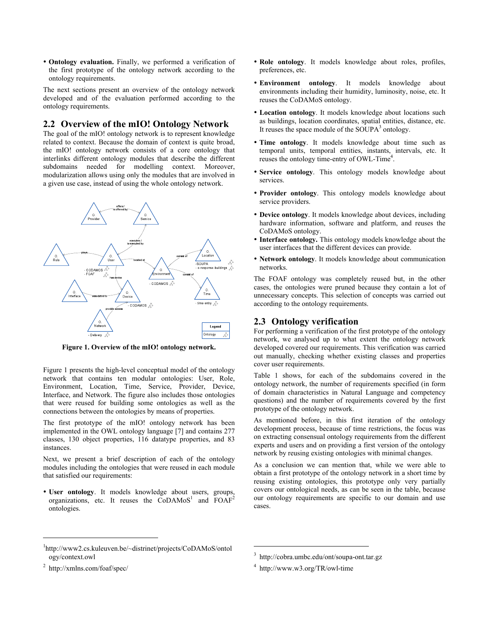• **Ontology evaluation.** Finally, we performed a verification of the first prototype of the ontology network according to the ontology requirements.

The next sections present an overview of the ontology network developed and of the evaluation performed according to the ontology requirements.

## **2.2 Overview of the mIO! Ontology Network**

The goal of the mIO! ontology network is to represent knowledge related to context. Because the domain of context is quite broad, the mIO! ontology network consists of a core ontology that interlinks different ontology modules that describe the different subdomains needed for modelling context. Moreover, modularization allows using only the modules that are involved in a given use case, instead of using the whole ontology network.



**Figure 1. Overview of the mIO! ontology network.**

Figure 1 presents the high-level conceptual model of the ontology network that contains ten modular ontologies: User, Role, Environment, Location, Time, Service, Provider, Device, Interface, and Network. The figure also includes those ontologies that were reused for building some ontologies as well as the connections between the ontologies by means of properties.

The first prototype of the mIO! ontology network has been implemented in the OWL ontology language [7] and contains 277 classes, 130 object properties, 116 datatype properties, and 83 instances.

Next, we present a brief description of each of the ontology modules including the ontologies that were reused in each module that satisfied our requirements:

• **User ontology**. It models knowledge about users, groups, organizations, etc. It reuses the  $CoDAMoS<sup>1</sup>$  and  $FOAF<sup>2</sup>$ ontologies.

1

- **Role ontology**. It models knowledge about roles, profiles, preferences, etc.
- **Environment ontology**. It models knowledge about environments including their humidity, luminosity, noise, etc. It reuses the CoDAMoS ontology.
- **Location ontology**. It models knowledge about locations such as buildings, location coordinates, spatial entities, distance, etc. It reuses the space module of the  $SOLPA<sup>3</sup>$  ontology.
- **Time ontology**. It models knowledge about time such as temporal units, temporal entities, instants, intervals, etc. It reuses the ontology time-entry of OWL-Time<sup>4</sup>.
- **Service ontology**. This ontology models knowledge about services.
- **Provider ontology**. This ontology models knowledge about service providers.
- **Device ontology**. It models knowledge about devices, including hardware information, software and platform, and reuses the CoDAMoS ontology.
- **Interface ontology.** This ontology models knowledge about the user interfaces that the different devices can provide.
- **Network ontology**. It models knowledge about communication networks.

The FOAF ontology was completely reused but, in the other cases, the ontologies were pruned because they contain a lot of unnecessary concepts. This selection of concepts was carried out according to the ontology requirements.

## **2.3 Ontology verification**

For performing a verification of the first prototype of the ontology network, we analysed up to what extent the ontology network developed covered our requirements. This verification was carried out manually, checking whether existing classes and properties cover user requirements.

Table 1 shows, for each of the subdomains covered in the ontology network, the number of requirements specified (in form of domain characteristics in Natural Language and competency questions) and the number of requirements covered by the first prototype of the ontology network.

As mentioned before, in this first iteration of the ontology development process, because of time restrictions, the focus was on extracting consensual ontology requirements from the different experts and users and on providing a first version of the ontology network by reusing existing ontologies with minimal changes.

As a conclusion we can mention that, while we were able to obtain a first prototype of the ontology network in a short time by reusing existing ontologies, this prototype only very partially covers our ontological needs, as can be seen in the table, because our ontology requirements are specific to our domain and use cases.

1

<sup>1</sup> http://www2.cs.kuleuven.be/~distrinet/projects/CoDAMoS/ontol ogy/context.owl

<sup>2</sup> http://xmlns.com/foaf/spec/

<sup>3</sup> http://cobra.umbc.edu/ont/soupa-ont.tar.gz

<sup>4</sup> http://www.w3.org/TR/owl-time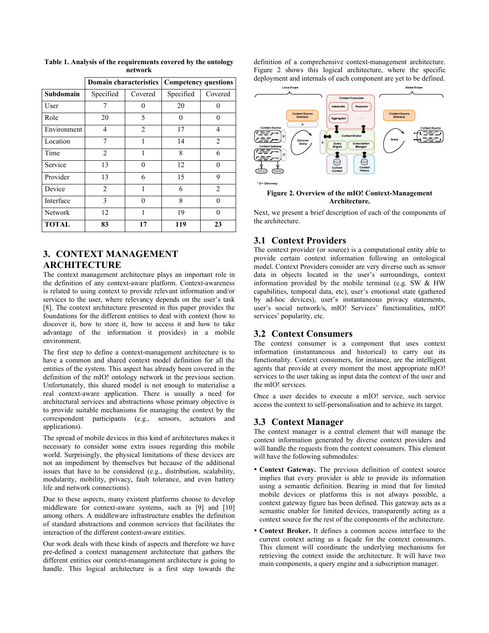|              | <b>Domain characteristics</b> |                | <b>Competency questions</b> |                |
|--------------|-------------------------------|----------------|-----------------------------|----------------|
| Subdomain    | Specified                     | Covered        | Specified                   | Covered        |
| User         | 7                             | $\theta$       | 20                          | 0              |
| Role         | 20                            | 5              | 0                           | 0              |
| Environment  | 4                             | $\overline{2}$ | 17                          | 4              |
| Location     | 7                             | 1              | 14                          | $\overline{2}$ |
| Time         | $\overline{2}$                | 1              | 8                           | 6              |
| Service      | 13                            | $\Omega$       | 12                          | $\Omega$       |
| Provider     | 13                            | 6              | 15                          | 9              |
| Device       | $\overline{2}$                |                | 6                           | $\overline{2}$ |
| Interface    | 3                             | $\Omega$       | 8                           | $\Omega$       |
| Network      | 12                            |                | 19                          | $\theta$       |
| <b>TOTAL</b> | 83                            | 17             | 119                         | 23             |

**Table 1. Analysis of the requirements covered by the ontology network**

# **3. CONTEXT MANAGEMENT ARCHITECTURE**

The context management architecture plays an important role in the definition of any context-aware platform. Context-awareness is related to using context to provide relevant information and/or services to the user, where relevancy depends on the user's task [8]. The context architecture presented in this paper provides the foundations for the different entities to deal with context (how to discover it, how to store it, how to access it and how to take advantage of the information it provides) in a mobile environment.

The first step to define a context-management architecture is to have a common and shared context model definition for all the entities of the system. This aspect has already been covered in the definition of the mIO! ontology network in the previous section. Unfortunately, this shared model is not enough to materialise a real context-aware application. There is usually a need for architectural services and abstractions whose primary objective is to provide suitable mechanisms for managing the context by the correspondent participants (e.g., sensors, actuators and applications).

The spread of mobile devices in this kind of architectures makes it necessary to consider some extra issues regarding this mobile world. Surprisingly, the physical limitations of these devices are not an impediment by themselves but because of the additional issues that have to be considered (e.g., distribution, scalability, modularity, mobility, privacy, fault tolerance, and even battery life and network connections).

Due to these aspects, many existent platforms choose to develop middleware for context-aware systems, such as [9] and [10] among others. A middleware infrastructure enables the definition of standard abstractions and common services that facilitates the interaction of the different context-aware entities.

Our work deals with these kinds of aspects and therefore we have pre-defined a context management architecture that gathers the different entities our context-management architecture is going to handle. This logical architecture is a first step towards the definition of a comprehensive context-management architecture. Figure 2 shows this logical architecture, where the specific deployment and internals of each component are yet to be defined.



**Figure 2. Overview of the mIO! Context-Management Architecture.**

Next, we present a brief description of each of the components of the architecture.

## **3.1 Context Providers**

The context provider (or source) is a computational entity able to provide certain context information following an ontological model. Context Providers consider are very diverse such as sensor data in objects located in the user's surroundings, context information provided by the mobile terminal (e.g.  $SW & HW$ capabilities, temporal data, etc), user's emotional state (gathered by ad-hoc devices), user's instantaneous privacy statements, user's social network/s, mIO! Services' functionalities, mIO! services' popularity, etc.

## **3.2 Context Consumers**

The context consumer is a component that uses context information (instantaneous and historical) to carry out its functionality. Context consumers, for instance, are the intelligent agents that provide at every moment the most appropriate mIO! services to the user taking as input data the context of the user and the mIO! services.

Once a user decides to execute a mIO! service, such service access the context to self-personalisation and to achieve its target.

## **3.3 Context Manager**

The context manager is a central element that will manage the context information generated by diverse context providers and will handle the requests from the context consumers. This element will have the following submodules:

- **Context Gateway.** The previous definition of context source implies that every provider is able to provide its information using a semantic definition. Bearing in mind that for limited mobile devices or platforms this is not always possible, a context gateway figure has been defined. This gateway acts as a semantic enabler for limited devices, transparently acting as a context source for the rest of the components of the architecture.
- **Context Broker.** It defines a common access interface to the current context acting as a façade for the context consumers. This element will coordinate the underlying mechanisms for retrieving the context inside the architecture. It will have two main components, a query engine and a subscription manager.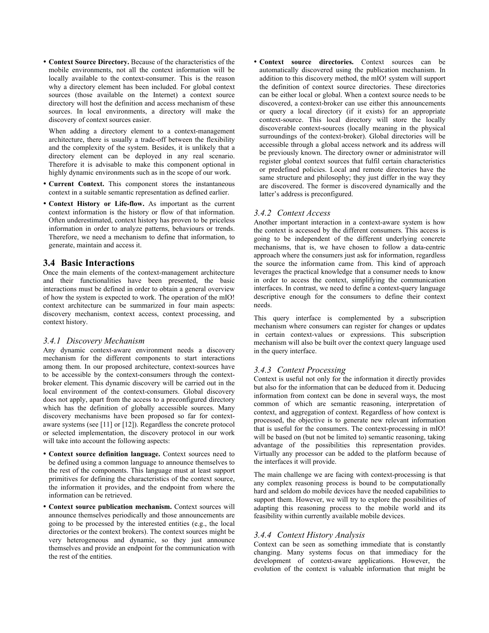• **Context Source Directory.** Because of the characteristics of the mobile environments, not all the context information will be locally available to the context-consumer. This is the reason why a directory element has been included. For global context sources (those available on the Internet) a context source directory will host the definition and access mechanism of these sources. In local environments, a directory will make the discovery of context sources easier.

When adding a directory element to a context-management architecture, there is usually a trade-off between the flexibility and the complexity of the system. Besides, it is unlikely that a directory element can be deployed in any real scenario. Therefore it is advisable to make this component optional in highly dynamic environments such as in the scope of our work.

- **Current Context.** This component stores the instantaneous context in a suitable semantic representation as defined earlier.
- **Context History or Life-flow.** As important as the current context information is the history or flow of that information. Often underestimated, context history has proven to be priceless information in order to analyze patterns, behaviours or trends. Therefore, we need a mechanism to define that information, to generate, maintain and access it.

#### **3.4 Basic Interactions**

Once the main elements of the context-management architecture and their functionalities have been presented, the basic interactions must be defined in order to obtain a general overview of how the system is expected to work. The operation of the mIO! context architecture can be summarized in four main aspects: discovery mechanism, context access, context processing, and context history.

#### *3.4.1 Discovery Mechanism*

Any dynamic context-aware environment needs a discovery mechanism for the different components to start interactions among them. In our proposed architecture, context-sources have to be accessible by the context-consumers through the contextbroker element. This dynamic discovery will be carried out in the local environment of the context-consumers. Global discovery does not apply, apart from the access to a preconfigured directory which has the definition of globally accessible sources. Many discovery mechanisms have been proposed so far for contextaware systems (see [11] or [12]). Regardless the concrete protocol or selected implementation, the discovery protocol in our work will take into account the following aspects:

- **Context source definition language.** Context sources need to be defined using a common language to announce themselves to the rest of the components. This language must at least support primitives for defining the characteristics of the context source, the information it provides, and the endpoint from where the information can be retrieved.
- **Context source publication mechanism.** Context sources will announce themselves periodically and those announcements are going to be processed by the interested entities (e.g., the local directories or the context brokers). The context sources might be very heterogeneous and dynamic, so they just announce themselves and provide an endpoint for the communication with the rest of the entities.

• **Context source directories.** Context sources can be automatically discovered using the publication mechanism. In addition to this discovery method, the mIO! system will support the definition of context source directories. These directories can be either local or global. When a context source needs to be discovered, a context-broker can use either this announcements or query a local directory (if it exists) for an appropriate context-source. This local directory will store the locally discoverable context-sources (locally meaning in the physical surroundings of the context-broker). Global directories will be accessible through a global access network and its address will be previously known. The directory owner or administrator will register global context sources that fulfil certain characteristics or predefined policies. Local and remote directories have the same structure and philosophy; they just differ in the way they are discovered. The former is discovered dynamically and the latter's address is preconfigured.

#### *3.4.2 Context Access*

Another important interaction in a context-aware system is how the context is accessed by the different consumers. This access is going to be independent of the different underlying concrete mechanisms, that is, we have chosen to follow a data-centric approach where the consumers just ask for information, regardless the source the information came from. This kind of approach leverages the practical knowledge that a consumer needs to know in order to access the context, simplifying the communication interfaces. In contrast, we need to define a context-query language descriptive enough for the consumers to define their context needs.

This query interface is complemented by a subscription mechanism where consumers can register for changes or updates in certain context-values or expressions. This subscription mechanism will also be built over the context query language used in the query interface.

## *3.4.3 Context Processing*

Context is useful not only for the information it directly provides but also for the information that can be deduced from it. Deducing information from context can be done in several ways, the most common of which are semantic reasoning, interpretation of context, and aggregation of context. Regardless of how context is processed, the objective is to generate new relevant information that is useful for the consumers. The context-processing in mIO! will be based on (but not be limited to) semantic reasoning, taking advantage of the possibilities this representation provides. Virtually any processor can be added to the platform because of the interfaces it will provide.

The main challenge we are facing with context-processing is that any complex reasoning process is bound to be computationally hard and seldom do mobile devices have the needed capabilities to support them. However, we will try to explore the possibilities of adapting this reasoning process to the mobile world and its feasibility within currently available mobile devices.

#### *3.4.4 Context History Analysis*

Context can be seen as something immediate that is constantly changing. Many systems focus on that immediacy for the development of context-aware applications. However, the evolution of the context is valuable information that might be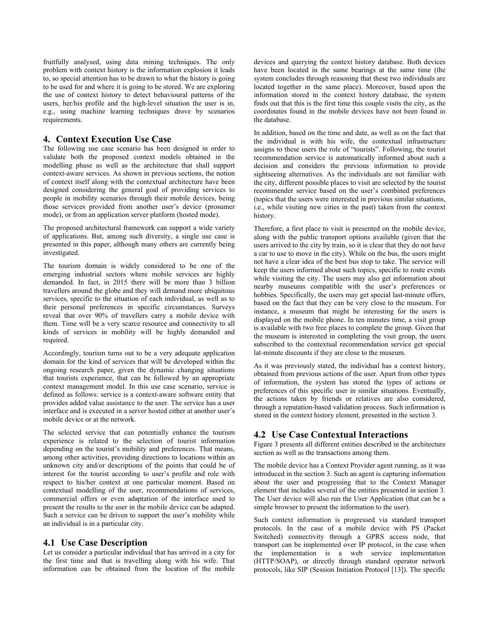fruitfully analysed, using data mining techniques. The only problem with context history is the information explosion it leads to, so special attention has to be drawn to what the history is going to be used for and where it is going to be stored. We are exploring the use of context history to detect behavioural patterns of the users, her/his profile and the high-level situation the user is in, e.g., using machine learning techniques drove by scenarios requirements.

## **4. Context Execution Use Case**

The following use case scenario has been designed in order to validate both the proposed context models obtained in the modelling phase as well as the architecture that shall support context-aware services. As shown in previous sections, the notion of context itself along with the contextual architecture have been designed considering the general goal of providing services to people in mobility scenarios through their mobile devices, being those services provided from another user's device (prosumer mode), or from an application server platform (hosted mode).

The proposed architectural framework can support a wide variety of applications. But, among such diversity, a single use case is presented in this paper, although many others are currently being investigated.

The tourism domain is widely considered to be one of the emerging industrial sectors where mobile services are highly demanded. In fact, in 2015 there will be more than 3 billion travellers around the globe and they will demand more ubiquitous services, specific to the situation of each individual, as well as to their personal preferences in specific circumstances. Surveys reveal that over 90% of travellers carry a mobile device with them. Time will be a very scarce resource and connectivity to all kinds of services in mobility will be highly demanded and required.

Accordingly, tourism turns out to be a very adequate application domain for the kind of services that will be developed within the ongoing research paper, given the dynamic changing situations that tourists experience, that can be followed by an appropriate context management model. In this use case scenario, service is defined as follows: service is a context-aware software entity that provides added value assistance to the user. The service has a user interface and is executed in a server hosted either at another user's mobile device or at the network.

The selected service that can potentially enhance the tourism experience is related to the selection of tourist information depending on the tourist's mobility and preferences. That means, among other activities, providing directions to locations within an unknown city and/or descriptions of the points that could be of interest for the tourist according to user's profile and role with respect to his/her context at one particular moment. Based on contextual modelling of the user, recommendations of services, commercial offers or even adaptation of the interface used to present the results to the user in the mobile device can be adapted. Such a service can be driven to support the user's mobility while an individual is in a particular city.

## **4.1 Use Case Description**

Let us consider a particular individual that has arrived in a city for the first time and that is travelling along with his wife. That information can be obtained from the location of the mobile devices and querying the context history database. Both devices have been located in the same bearings at the same time (the system concludes through reasoning that these two individuals are located together in the same place). Moreover, based upon the information stored in the context history database, the system finds out that this is the first time this couple visits the city, as the coordinates found in the mobile devices have not been found in the database.

In addition, based on the time and date, as well as on the fact that the individual is with his wife, the contextual infrastructure assigns to these users the role of "tourists". Following, the tourist recommendation service is automatically informed about such a decision and considers the previous information to provide sightseeing alternatives. As the individuals are not familiar with the city, different possible places to visit are selected by the tourist recommender service based on the user's combined preferences (topics that the users were interested in previous similar situations, i.e., while visiting new cities in the past) taken from the context history.

Therefore, a first place to visit is presented on the mobile device, along with the public transport options available (given that the users arrived to the city by train, so it is clear that they do not have a car to use to move in the city). While on the bus, the users might not have a clear idea of the best bus stop to take. The service will keep the users informed about such topics, specific to route events while visiting the city. The users may also get information about nearby museums compatible with the user's preferences or hobbies. Specifically, the users may get special last-minute offers, based on the fact that they can be very close to the museum. For instance, a museum that might be interesting for the users is displayed on the mobile phone. In ten minutes time, a visit group is available with two free places to complete the group. Given that the museum is interested in completing the visit group, the users subscribed to the contextual recommendation service get special lat-minute discounts if they are close to the museum.

As it was previously stated, the individual has a context history, obtained from previous actions of the user. Apart from other types of information, the system has stored the types of actions or preferences of this specific user in similar situations. Eventually, the actions taken by friends or relatives are also considered, through a reputation-based validation process. Such information is stored in the context history element, presented in the section 3.

## **4.2 Use Case Contextual Interactions**

Figure 3 presents all different entities described in the architecture section as well as the transactions among them.

The mobile device has a Context Provider agent running, as it was introduced in the section 3. Such an agent is capturing information about the user and progressing that to the Context Manager element that includes several of the entities presented in section 3. The User device will also run the User Application (that can be a simple browser to present the information to the user).

Such context information is progressed via standard transport protocols. In the case of a mobile device with PS (Packet Switched) connectivity through a GPRS access node, that transport can be implemented over IP protocol, in the case when the implementation is a web service implementation (HTTP/SOAP), or directly through standard operator network protocols, like SIP (Session Initiation Protocol [13]). The specific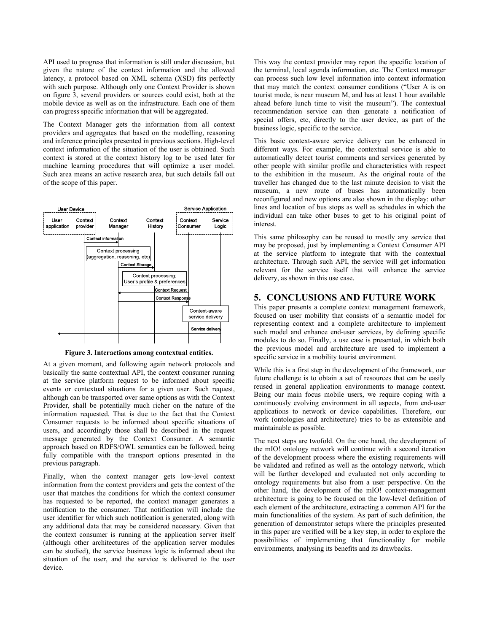API used to progress that information is still under discussion, but given the nature of the context information and the allowed latency, a protocol based on XML schema (XSD) fits perfectly with such purpose. Although only one Context Provider is shown on figure 3, several providers or sources could exist, both at the mobile device as well as on the infrastructure. Each one of them can progress specific information that will be aggregated.

The Context Manager gets the information from all context providers and aggregates that based on the modelling, reasoning and inference principles presented in previous sections. High-level context information of the situation of the user is obtained. Such context is stored at the context history log to be used later for machine learning procedures that will optimize a user model. Such area means an active research area, but such details fall out of the scope of this paper.



**Figure 3. Interactions among contextual entities.**

At a given moment, and following again network protocols and basically the same contextual API, the context consumer running at the service platform request to be informed about specific events or contextual situations for a given user. Such request, although can be transported over same options as with the Context Provider, shall be potentially much richer on the nature of the information requested. That is due to the fact that the Context Consumer requests to be informed about specific situations of users, and accordingly those shall be described in the request message generated by the Context Consumer. A semantic approach based on RDFS/OWL semantics can be followed, being fully compatible with the transport options presented in the previous paragraph.

Finally, when the context manager gets low-level context information from the context providers and gets the context of the user that matches the conditions for which the context consumer has requested to be reported, the context manager generates a notification to the consumer. That notification will include the user identifier for which such notification is generated, along with any additional data that may be considered necessary. Given that the context consumer is running at the application server itself (although other architectures of the application server modules can be studied), the service business logic is informed about the situation of the user, and the service is delivered to the user device.

This way the context provider may report the specific location of the terminal, local agenda information, etc. The Context manager can process such low level information into context information that may match the context consumer conditions ("User A is on tourist mode, is near museum M, and has at least 1 hour available ahead before lunch time to visit the museum"). The contextual recommendation service can then generate a notification of special offers, etc, directly to the user device, as part of the business logic, specific to the service.

This basic context-aware service delivery can be enhanced in different ways. For example, the contextual service is able to automatically detect tourist comments and services generated by other people with similar profile and characteristics with respect to the exhibition in the museum. As the original route of the traveller has changed due to the last minute decision to visit the museum, a new route of buses has automatically been reconfigured and new options are also shown in the display: other lines and location of bus stops as well as schedules in which the individual can take other buses to get to his original point of interest.

This same philosophy can be reused to mostly any service that may be proposed, just by implementing a Context Consumer API at the service platform to integrate that with the contextual architecture. Through such API, the service will get information relevant for the service itself that will enhance the service delivery, as shown in this use case.

# **5. CONCLUSIONS AND FUTURE WORK**

This paper presents a complete context management framework, focused on user mobility that consists of a semantic model for representing context and a complete architecture to implement such model and enhance end-user services, by defining specific modules to do so. Finally, a use case is presented, in which both the previous model and architecture are used to implement a specific service in a mobility tourist environment.

While this is a first step in the development of the framework, our future challenge is to obtain a set of resources that can be easily reused in general application environments to manage context. Being our main focus mobile users, we require coping with a continuously evolving environment in all aspects, from end-user applications to network or device capabilities. Therefore, our work (ontologies and architecture) tries to be as extensible and maintainable as possible.

The next steps are twofold. On the one hand, the development of the mIO! ontology network will continue with a second iteration of the development process where the existing requirements will be validated and refined as well as the ontology network, which will be further developed and evaluated not only according to ontology requirements but also from a user perspective. On the other hand, the development of the mIO! context-management architecture is going to be focused on the low-level definition of each element of the architecture, extracting a common API for the main functionalities of the system. As part of such definition, the generation of demonstrator setups where the principles presented in this paper are verified will be a key step, in order to explore the possibilities of implementing that functionality for mobile environments, analysing its benefits and its drawbacks.